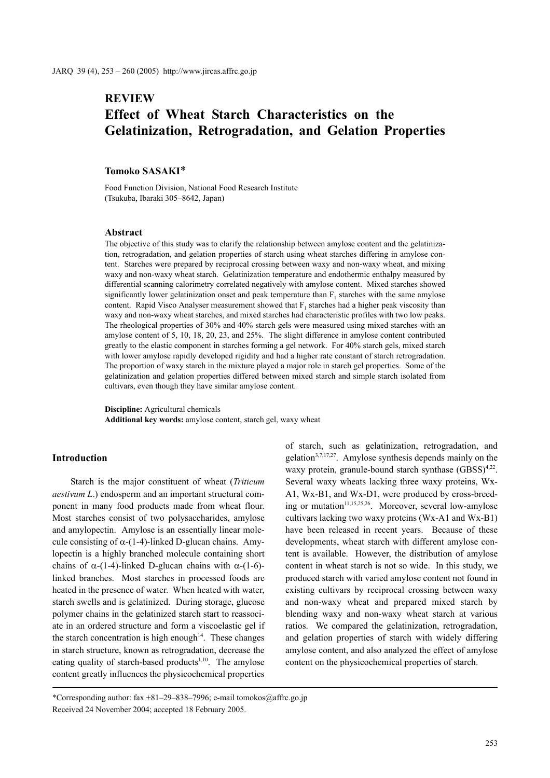# **REVIEW Effect of Wheat Starch Characteristics on the Gelatinization, Retrogradation, and Gelation Properties**

## **Tomoko SASAKI**\*

Food Function Division, National Food Research Institute (Tsukuba, Ibaraki 305–8642, Japan)

#### **Abstract**

The objective of this study was to clarify the relationship between amylose content and the gelatinization, retrogradation, and gelation properties of starch using wheat starches differing in amylose content. Starches were prepared by reciprocal crossing between waxy and non-waxy wheat, and mixing waxy and non-waxy wheat starch. Gelatinization temperature and endothermic enthalpy measured by differential scanning calorimetry correlated negatively with amylose content. Mixed starches showed significantly lower gelatinization onset and peak temperature than  $F_1$  starches with the same amylose content. Rapid Visco Analyser measurement showed that  $F_1$  starches had a higher peak viscosity than waxy and non-waxy wheat starches, and mixed starches had characteristic profiles with two low peaks. The rheological properties of 30% and 40% starch gels were measured using mixed starches with an amylose content of 5, 10, 18, 20, 23, and 25%. The slight difference in amylose content contributed greatly to the elastic component in starches forming a gel network. For 40% starch gels, mixed starch with lower amylose rapidly developed rigidity and had a higher rate constant of starch retrogradation. The proportion of waxy starch in the mixture played a major role in starch gel properties. Some of the gelatinization and gelation properties differed between mixed starch and simple starch isolated from cultivars, even though they have similar amylose content.

**Discipline:** Agricultural chemicals **Additional key words:** amylose content, starch gel, waxy wheat

#### **Introduction**

Starch is the major constituent of wheat (*Triticum aestivum L*.) endosperm and an important structural component in many food products made from wheat flour. Most starches consist of two polysaccharides, amylose and amylopectin. Amylose is an essentially linear molecule consisting of  $\alpha$ -(1-4)-linked D-glucan chains. Amylopectin is a highly branched molecule containing short chains of  $\alpha$ -(1-4)-linked D-glucan chains with  $\alpha$ -(1-6)linked branches. Most starches in processed foods are heated in the presence of water. When heated with water, starch swells and is gelatinized. During storage, glucose polymer chains in the gelatinized starch start to reassociate in an ordered structure and form a viscoelastic gel if the starch concentration is high enough<sup>14</sup>. These changes in starch structure, known as retrogradation, decrease the eating quality of starch-based products<sup>1,10</sup>. The amylose content greatly influences the physicochemical properties of starch, such as gelatinization, retrogradation, and gelation $3,7,17,27$ . Amylose synthesis depends mainly on the waxy protein, granule-bound starch synthase  $(GBSS)^{4,22}$ . Several waxy wheats lacking three waxy proteins, Wx-A1, Wx-B1, and Wx-D1, were produced by cross-breeding or mutation<sup>11,15,25,26</sup>. Moreover, several low-amylose cultivars lacking two waxy proteins (Wx-A1 and Wx-B1) have been released in recent years. Because of these developments, wheat starch with different amylose content is available. However, the distribution of amylose content in wheat starch is not so wide. In this study, we produced starch with varied amylose content not found in existing cultivars by reciprocal crossing between waxy and non-waxy wheat and prepared mixed starch by blending waxy and non-waxy wheat starch at various ratios. We compared the gelatinization, retrogradation, and gelation properties of starch with widely differing amylose content, and also analyzed the effect of amylose content on the physicochemical properties of starch.

<sup>\*</sup>Corresponding author: fax +81–29–838–7996; e-mail tomokos@affrc.go.jp Received 24 November 2004; accepted 18 February 2005.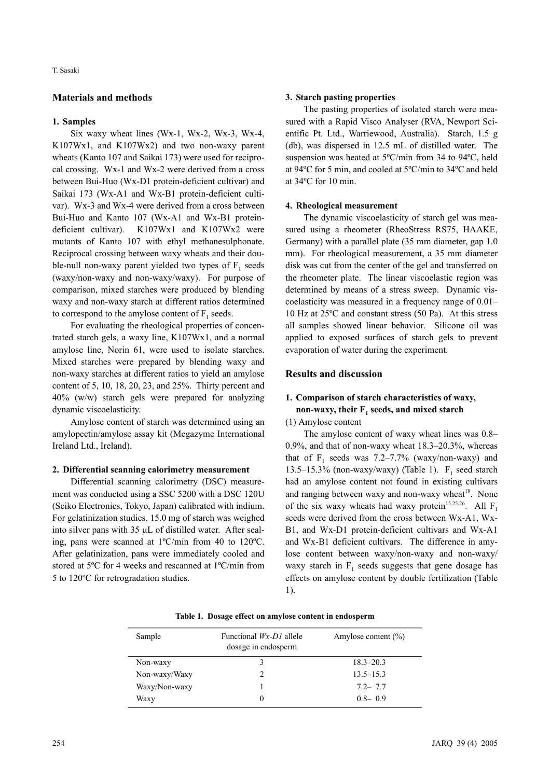## **Materials and methods**

#### **1. Samples**

Six waxy wheat lines (Wx-1, Wx-2, Wx-3, Wx-4, K107Wx1, and K107Wx2) and two non-waxy parent wheats (Kanto 107 and Saikai 173) were used for reciprocal crossing. Wx-1 and Wx-2 were derived from a cross between Bui-Huo (Wx-D1 protein-deficient cultivar) and Saikai 173 (Wx-A1 and Wx-B1 protein-deficient cultivar). Wx-3 and Wx-4 were derived from a cross between Bui-Huo and Kanto 107 (Wx-A1 and Wx-B1 proteindeficient cultivar). K107Wx1 and K107Wx2 were mutants of Kanto 107 with ethyl methanesulphonate. Reciprocal crossing between waxy wheats and their double-null non-waxy parent yielded two types of  $F_1$  seeds (waxy/non-waxy and non-waxy/waxy). For purpose of comparison, mixed starches were produced by blending waxy and non-waxy starch at different ratios determined to correspond to the amylose content of  $F_1$  seeds.

For evaluating the rheological properties of concentrated starch gels, a waxy line, K107Wx1, and a normal amylose line, Norin 61, were used to isolate starches. Mixed starches were prepared by blending waxy and non-waxy starches at different ratios to yield an amylose content of 5, 10, 18, 20, 23, and 25%. Thirty percent and 40% (w/w) starch gels were prepared for analyzing dynamic viscoelasticity.

Amylose content of starch was determined using an amylopectin/amylose assay kit (Megazyme International Ireland Ltd., Ireland).

## **2. Differential scanning calorimetry measurement**

Differential scanning calorimetry (DSC) measurement was conducted using a SSC 5200 with a DSC 120U (Seiko Electronics, Tokyo, Japan) calibrated with indium. For gelatinization studies, 15.0 mg of starch was weighed into silver pans with 35 µL of distilled water. After sealing, pans were scanned at 1ºC/min from 40 to 120ºC. After gelatinization, pans were immediately cooled and stored at 5ºC for 4 weeks and rescanned at 1ºC/min from 5 to 120ºC for retrogradation studies.

#### **3. Starch pasting properties**

The pasting properties of isolated starch were measured with a Rapid Visco Analyser (RVA, Newport Scientific Pt. Ltd., Warriewood, Australia). Starch, 1.5 g (db), was dispersed in 12.5 mL of distilled water. The suspension was heated at 5ºC/min from 34 to 94ºC, held at 94ºC for 5 min, and cooled at 5ºC/min to 34ºC and held at 34ºC for 10 min.

#### **4. Rheological measurement**

The dynamic viscoelasticity of starch gel was measured using a rheometer (RheoStress RS75, HAAKE, Germany) with a parallel plate (35 mm diameter, gap 1.0 mm). For rheological measurement, a 35 mm diameter disk was cut from the center of the gel and transferred on the rheometer plate. The linear viscoelastic region was determined by means of a stress sweep. Dynamic viscoelasticity was measured in a frequency range of 0.01– 10 Hz at 25ºC and constant stress (50 Pa). At this stress all samples showed linear behavior. Silicone oil was applied to exposed surfaces of starch gels to prevent evaporation of water during the experiment.

## **Results and discussion**

## **1. Comparison of starch characteristics of waxy, non-waxy, their F1 seeds, and mixed starch**

(1) Amylose content

The amylose content of waxy wheat lines was 0.8– 0.9%, and that of non-waxy wheat 18.3–20.3%, whereas that of  $F_1$  seeds was 7.2–7.7% (waxy/non-waxy) and 13.5–15.3% (non-waxy/waxy) (Table 1).  $F_1$  seed starch had an amylose content not found in existing cultivars and ranging between waxy and non-waxy wheat $18$ . None of the six waxy wheats had waxy protein<sup>15,25,26</sup>. All  $F_1$ seeds were derived from the cross between Wx-A1, Wx-B1, and Wx-D1 protein-deficient cultivars and Wx-A1 and Wx-B1 deficient cultivars. The difference in amylose content between waxy/non-waxy and non-waxy/ waxy starch in  $F_1$  seeds suggests that gene dosage has effects on amylose content by double fertilization (Table 1).

|  |  |  |  |  |  |  | Table 1. Dosage effect on amylose content in endosperm |
|--|--|--|--|--|--|--|--------------------------------------------------------|
|--|--|--|--|--|--|--|--------------------------------------------------------|

| Sample        | Functional $Wx$ -DI allele<br>dosage in endosperm | Amylose content $(\% )$ |
|---------------|---------------------------------------------------|-------------------------|
| Non-waxy      | 3                                                 | $18.3 - 20.3$           |
| Non-waxy/Waxy |                                                   | $13.5 - 15.3$           |
| Waxy/Non-waxy |                                                   | $7.2 - 7.7$             |
| Waxy          | $\theta$                                          | $0.8 - 0.9$             |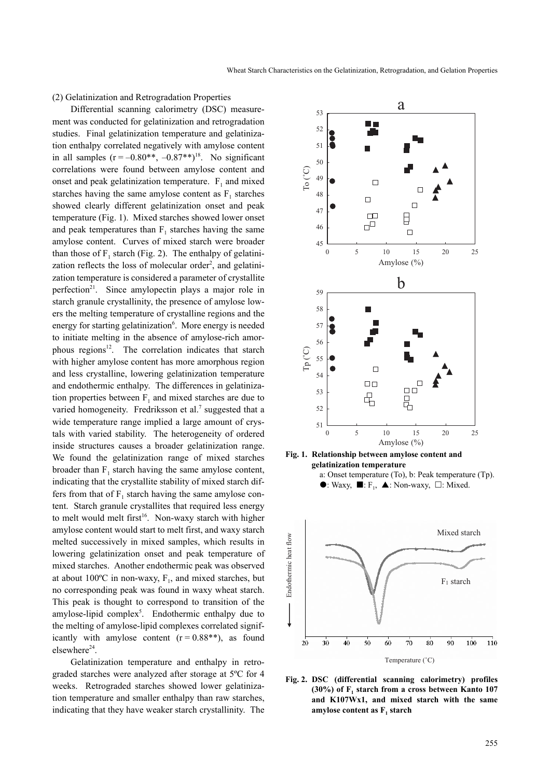#### (2) Gelatinization and Retrogradation Properties

Differential scanning calorimetry (DSC) measurement was conducted for gelatinization and retrogradation studies. Final gelatinization temperature and gelatinization enthalpy correlated negatively with amylose content in all samples  $(r = -0.80^{**}, -0.87^{**})^{18}$ . No significant correlations were found between amylose content and onset and peak gelatinization temperature.  $F_1$  and mixed starches having the same amylose content as  $F_1$  starches showed clearly different gelatinization onset and peak temperature (Fig. 1). Mixed starches showed lower onset and peak temperatures than  $F_1$  starches having the same amylose content. Curves of mixed starch were broader than those of  $F_1$  starch (Fig. 2). The enthalpy of gelatinization reflects the loss of molecular order<sup>2</sup>, and gelatinization temperature is considered a parameter of crystallite perfection<sup>21</sup>. Since amylopectin plays a major role in starch granule crystallinity, the presence of amylose lowers the melting temperature of crystalline regions and the energy for starting gelatinization<sup>6</sup>. More energy is needed to initiate melting in the absence of amylose-rich amorphous regions<sup>12</sup>. The correlation indicates that starch with higher amylose content has more amorphous region and less crystalline, lowering gelatinization temperature and endothermic enthalpy. The differences in gelatinization properties between  $F_1$  and mixed starches are due to varied homogeneity. Fredriksson et al.<sup>7</sup> suggested that a wide temperature range implied a large amount of crystals with varied stability. The heterogeneity of ordered inside structures causes a broader gelatinization range. We found the gelatinization range of mixed starches broader than  $F_1$  starch having the same amylose content, indicating that the crystallite stability of mixed starch differs from that of  $F_1$  starch having the same amylose content. Starch granule crystallites that required less energy to melt would melt first<sup>16</sup>. Non-waxy starch with higher amylose content would start to melt first, and waxy starch melted successively in mixed samples, which results in lowering gelatinization onset and peak temperature of mixed starches. Another endothermic peak was observed at about 100 $^{\circ}$ C in non-waxy, F<sub>1</sub>, and mixed starches, but no corresponding peak was found in waxy wheat starch. This peak is thought to correspond to transition of the amylose-lipid complex<sup>5</sup>. Endothermic enthalpy due to the melting of amylose-lipid complexes correlated significantly with amylose content  $(r = 0.88^{**})$ , as found elsewhere<sup>24</sup>.

Gelatinization temperature and enthalpy in retrograded starches were analyzed after storage at 5ºC for 4 weeks. Retrograded starches showed lower gelatinization temperature and smaller enthalpy than raw starches, indicating that they have weaker starch crystallinity. The







**Fig. 2. DSC (differential scanning calorimetry) profiles (30%) of F<sub>1</sub> starch from a cross between Kanto 107 and K107Wx1, and mixed starch with the same** amylose content as F<sub>1</sub> starch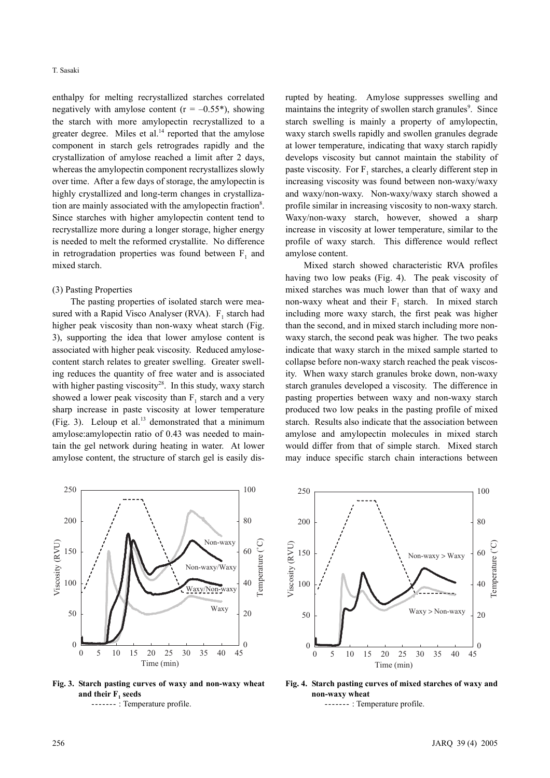enthalpy for melting recrystallized starches correlated negatively with amylose content  $(r = -0.55^*)$ , showing the starch with more amylopectin recrystallized to a greater degree. Miles et al. $14$  reported that the amylose component in starch gels retrogrades rapidly and the crystallization of amylose reached a limit after 2 days, whereas the amylopectin component recrystallizes slowly over time. After a few days of storage, the amylopectin is highly crystallized and long-term changes in crystallization are mainly associated with the amylopectin fraction<sup>8</sup>. Since starches with higher amylopectin content tend to recrystallize more during a longer storage, higher energy is needed to melt the reformed crystallite. No difference in retrogradation properties was found between  $F_1$  and mixed starch.

#### (3) Pasting Properties

The pasting properties of isolated starch were measured with a Rapid Visco Analyser (RVA).  $F_1$  starch had higher peak viscosity than non-waxy wheat starch (Fig. 3), supporting the idea that lower amylose content is associated with higher peak viscosity. Reduced amylosecontent starch relates to greater swelling. Greater swelling reduces the quantity of free water and is associated with higher pasting viscosity<sup>28</sup>. In this study, waxy starch showed a lower peak viscosity than  $F_1$  starch and a very sharp increase in paste viscosity at lower temperature (Fig. 3). Leloup et al.<sup>13</sup> demonstrated that a minimum amylose:amylopectin ratio of 0.43 was needed to maintain the gel network during heating in water. At lower amylose content, the structure of starch gel is easily disrupted by heating. Amylose suppresses swelling and maintains the integrity of swollen starch granules<sup>9</sup>. Since starch swelling is mainly a property of amylopectin, waxy starch swells rapidly and swollen granules degrade at lower temperature, indicating that waxy starch rapidly develops viscosity but cannot maintain the stability of paste viscosity. For  $F_1$  starches, a clearly different step in increasing viscosity was found between non-waxy/waxy and waxy/non-waxy. Non-waxy/waxy starch showed a profile similar in increasing viscosity to non-waxy starch. Waxy/non-waxy starch, however, showed a sharp increase in viscosity at lower temperature, similar to the profile of waxy starch. This difference would reflect amylose content.

Mixed starch showed characteristic RVA profiles having two low peaks (Fig. 4). The peak viscosity of mixed starches was much lower than that of waxy and non-waxy wheat and their  $F_1$  starch. In mixed starch including more waxy starch, the first peak was higher than the second, and in mixed starch including more nonwaxy starch, the second peak was higher. The two peaks indicate that waxy starch in the mixed sample started to collapse before non-waxy starch reached the peak viscosity. When waxy starch granules broke down, non-waxy starch granules developed a viscosity. The difference in pasting properties between waxy and non-waxy starch produced two low peaks in the pasting profile of mixed starch. Results also indicate that the association between amylose and amylopectin molecules in mixed starch would differ from that of simple starch. Mixed starch may induce specific starch chain interactions between



**Fig. 3. Starch pasting curves of waxy and non-waxy wheat** and their F<sub>1</sub> seeds ------- : Temperature profile.



**Fig. 4. Starch pasting curves of mixed starches of waxy and non-waxy wheat** ------- : Temperature profile.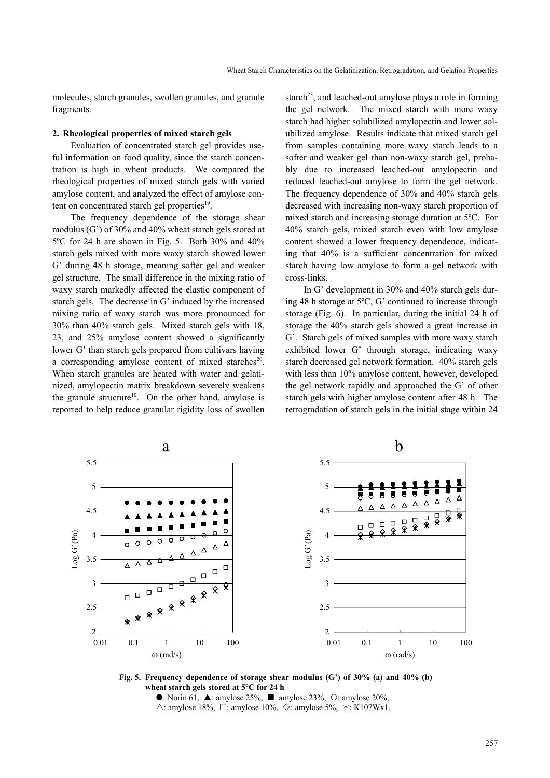molecules, starch granules, swollen granules, and granule fragments.

#### **2. Rheological properties of mixed starch gels**

Evaluation of concentrated starch gel provides useful information on food quality, since the starch concentration is high in wheat products. We compared the rheological properties of mixed starch gels with varied amylose content, and analyzed the effect of amylose content on concentrated starch gel properties<sup>19</sup>.

The frequency dependence of the storage shear modulus (G') of 30% and 40% wheat starch gels stored at 5ºC for 24 h are shown in Fig. 5. Both 30% and 40% starch gels mixed with more waxy starch showed lower G' during 48 h storage, meaning softer gel and weaker gel structure. The small difference in the mixing ratio of waxy starch markedly affected the elastic component of starch gels. The decrease in G' induced by the increased mixing ratio of waxy starch was more pronounced for 30% than 40% starch gels. Mixed starch gels with 18, 23, and 25% amylose content showed a significantly lower G' than starch gels prepared from cultivars having a corresponding amylose content of mixed starches $20$ . When starch granules are heated with water and gelatinized, amylopectin matrix breakdown severely weakens the granule structure<sup>10</sup>. On the other hand, amylose is reported to help reduce granular rigidity loss of swollen starch<sup>23</sup>, and leached-out amylose plays a role in forming the gel network. The mixed starch with more waxy starch had higher solubilized amylopectin and lower solubilized amylose. Results indicate that mixed starch gel from samples containing more waxy starch leads to a softer and weaker gel than non-waxy starch gel, probably due to increased leached-out amylopectin and reduced leached-out amylose to form the gel network. The frequency dependence of 30% and 40% starch gels decreased with increasing non-waxy starch proportion of mixed starch and increasing storage duration at 5ºC. For 40% starch gels, mixed starch even with low amylose content showed a lower frequency dependence, indicating that 40% is a sufficient concentration for mixed starch having low amylose to form a gel network with cross-links.

In G' development in 30% and 40% starch gels during 48 h storage at 5ºC, G' continued to increase through storage (Fig. 6). In particular, during the initial 24 h of storage the 40% starch gels showed a great increase in G'. Starch gels of mixed samples with more waxy starch exhibited lower G' through storage, indicating waxy starch decreased gel network formation. 40% starch gels with less than 10% amylose content, however, developed the gel network rapidly and approached the G' of other starch gels with higher amylose content after 48 h. The retrogradation of starch gels in the initial stage within 24



**Fig. 5. Frequency dependence of storage shear modulus (G') of 30% (a) and 40% (b) wheat starch gels stored at 5**°**C for 24 h**

 $\bullet$ : Norin 61,  $\blacktriangle$ : amylose 25%,  $\blacksquare$ : amylose 23%,  $\heartsuit$ : amylose 20%,  $\triangle$ : amylose 18%,  $\Box$ : amylose 10%,  $\diamond$ : amylose 5%,  $\star$ : K107Wx1.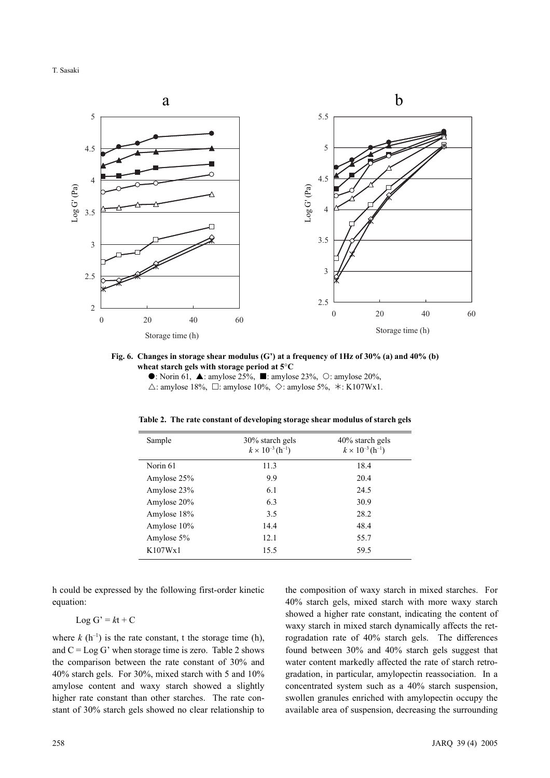T. Sasaki



**Fig. 6. Changes in storage shear modulus (G') at a frequency of 1Hz of 30% (a) and 40% (b) wheat starch gels with storage period at 5**°**C**

 $\bullet$ : Norin 61,  $\blacktriangle$ : amylose 25%,  $\blacksquare$ : amylose 23%,  $\heartsuit$ : amylose 20%,  $\triangle$ : amylose 18%,  $\Box$ : amylose 10%,  $\diamond$ : amylose 5%,  $\star$ : K107Wx1.

| Sample      | 30% starch gels<br>$k \times 10^{-3}$ (h <sup>-1</sup> ) | 40% starch gels<br>$k \times 10^{-3}$ (h <sup>-1</sup> ) |
|-------------|----------------------------------------------------------|----------------------------------------------------------|
| Norin 61    | 11.3                                                     | 18.4                                                     |
| Amylose 25% | 9.9                                                      | 20.4                                                     |
| Amylose 23% | 6.1                                                      | 24.5                                                     |
| Amylose 20% | 6.3                                                      | 30.9                                                     |
| Amylose 18% | 3.5                                                      | 28.2                                                     |
| Amylose 10% | 14.4                                                     | 48.4                                                     |
| Amylose 5%  | 12.1                                                     | 55.7                                                     |
| K107Wx1     | 15.5                                                     | 59.5                                                     |

**Table 2. The rate constant of developing storage shear modulus of starch gels**

h could be expressed by the following first-order kinetic equation:

$$
Log G' = kt + C
$$

where  $k(h^{-1})$  is the rate constant, t the storage time (h), and  $C = Log G'$  when storage time is zero. Table 2 shows the comparison between the rate constant of 30% and 40% starch gels. For 30%, mixed starch with 5 and 10% amylose content and waxy starch showed a slightly higher rate constant than other starches. The rate constant of 30% starch gels showed no clear relationship to the composition of waxy starch in mixed starches. For 40% starch gels, mixed starch with more waxy starch showed a higher rate constant, indicating the content of waxy starch in mixed starch dynamically affects the retrogradation rate of 40% starch gels. The differences found between 30% and 40% starch gels suggest that water content markedly affected the rate of starch retrogradation, in particular, amylopectin reassociation. In a concentrated system such as a 40% starch suspension, swollen granules enriched with amylopectin occupy the available area of suspension, decreasing the surrounding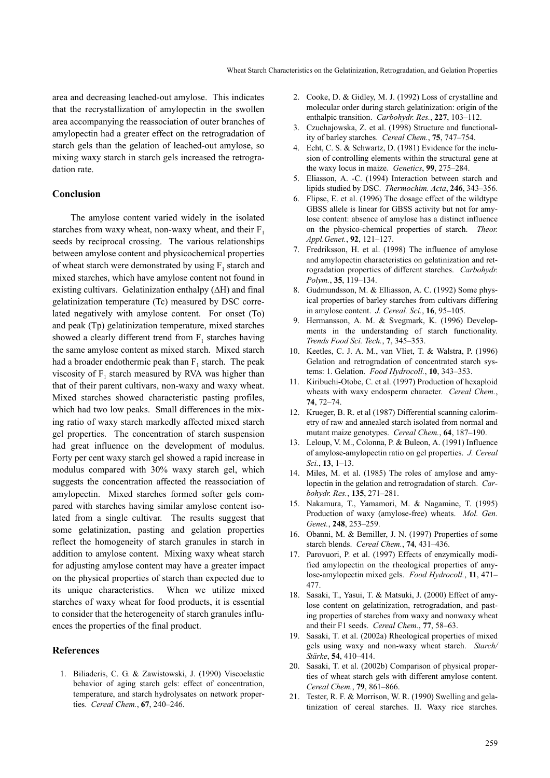area and decreasing leached-out amylose. This indicates that the recrystallization of amylopectin in the swollen area accompanying the reassociation of outer branches of amylopectin had a greater effect on the retrogradation of starch gels than the gelation of leached-out amylose, so mixing waxy starch in starch gels increased the retrogradation rate.

### **Conclusion**

The amylose content varied widely in the isolated starches from waxy wheat, non-waxy wheat, and their  $F_1$ seeds by reciprocal crossing. The various relationships between amylose content and physicochemical properties of wheat starch were demonstrated by using  $F_1$  starch and mixed starches, which have amylose content not found in existing cultivars. Gelatinization enthalpy (∆H) and final gelatinization temperature (Tc) measured by DSC correlated negatively with amylose content. For onset (To) and peak (Tp) gelatinization temperature, mixed starches showed a clearly different trend from  $F_1$  starches having the same amylose content as mixed starch. Mixed starch had a broader endothermic peak than  $F_1$  starch. The peak viscosity of  $F_1$  starch measured by RVA was higher than that of their parent cultivars, non-waxy and waxy wheat. Mixed starches showed characteristic pasting profiles, which had two low peaks. Small differences in the mixing ratio of waxy starch markedly affected mixed starch gel properties. The concentration of starch suspension had great influence on the development of modulus. Forty per cent waxy starch gel showed a rapid increase in modulus compared with 30% waxy starch gel, which suggests the concentration affected the reassociation of amylopectin. Mixed starches formed softer gels compared with starches having similar amylose content isolated from a single cultivar. The results suggest that some gelatinization, pasting and gelation properties reflect the homogeneity of starch granules in starch in addition to amylose content. Mixing waxy wheat starch for adjusting amylose content may have a greater impact on the physical properties of starch than expected due to its unique characteristics. When we utilize mixed starches of waxy wheat for food products, it is essential to consider that the heterogeneity of starch granules influences the properties of the final product.

## **References**

1. Biliaderis, C. G. & Zawistowski, J. (1990) Viscoelastic behavior of aging starch gels: effect of concentration, temperature, and starch hydrolysates on network properties. *Cereal Chem.*, **67**, 240–246.

- 2. Cooke, D. & Gidley, M. J. (1992) Loss of crystalline and molecular order during starch gelatinization: origin of the enthalpic transition. *Carbohydr. Res.*, **227**, 103–112.
- 3. Czuchajowska, Z. et al. (1998) Structure and functionality of barley starches. *Cereal Chem.*, **75**, 747–754.
- 4. Echt, C. S. & Schwartz, D. (1981) Evidence for the inclusion of controlling elements within the structural gene at the waxy locus in maize. *Genetics*, **99**, 275–284.
- 5. Eliasson, A. -C. (1994) Interaction between starch and lipids studied by DSC. *Thermochim. Acta*, **246**, 343–356.
- 6. Flipse, E. et al. (1996) The dosage effect of the wildtype GBSS allele is linear for GBSS activity but not for amylose content: absence of amylose has a distinct influence on the physico-chemical properties of starch. *Theor. Appl.Genet.*, **92**, 121–127.
- 7. Fredriksson, H. et al. (1998) The influence of amylose and amylopectin characteristics on gelatinization and retrogradation properties of different starches. *Carbohydr. Polym.*, **35**, 119–134.
- 8. Gudmundsson, M. & Elliasson, A. C. (1992) Some physical properties of barley starches from cultivars differing in amylose content. *J. Cereal. Sci.*, **16**, 95–105.
- 9. Hermansson, A. M. & Svegmark, K. (1996) Developments in the understanding of starch functionality. *Trends Food Sci. Tech.*, **7**, 345–353.
- 10. Keetles, C. J. A. M., van Vliet, T. & Walstra, P. (1996) Gelation and retrogradation of concentrated starch systems: 1. Gelation. *Food Hydrocoll.*, **10**, 343–353.
- 11. Kiribuchi-Otobe, C. et al. (1997) Production of hexaploid wheats with waxy endosperm character. *Cereal Chem.*, **74**, 72–74.
- 12. Krueger, B. R. et al (1987) Differential scanning calorimetry of raw and annealed starch isolated from normal and mutant maize genotypes. *Cereal Chem.*, **64**, 187–190.
- 13. Leloup, V. M., Colonna, P. & Buleon, A. (1991) Influence of amylose-amylopectin ratio on gel properties. *J. Cereal Sci.*, **13**, 1–13.
- 14. Miles, M. et al. (1985) The roles of amylose and amylopectin in the gelation and retrogradation of starch. *Carbohydr. Res.*, **135**, 271–281.
- 15. Nakamura, T., Yamamori, M. & Nagamine, T. (1995) Production of waxy (amylose-free) wheats. *Mol. Gen. Genet.*, **248**, 253–259.
- 16. Obanni, M. & Bemiller, J. N. (1997) Properties of some starch blends. *Cereal Chem.*, **74**, 431–436.
- 17. Parovuori, P. et al. (1997) Effects of enzymically modified amylopectin on the rheological properties of amylose-amylopectin mixed gels. *Food Hydrocoll.*, **11**, 471– 477.
- 18. Sasaki, T., Yasui, T. & Matsuki, J. (2000) Effect of amylose content on gelatinization, retrogradation, and pasting properties of starches from waxy and nonwaxy wheat and their F1 seeds. *Cereal Chem.*, **77**, 58–63.
- 19. Sasaki, T. et al. (2002a) Rheological properties of mixed gels using waxy and non-waxy wheat starch. *Starch/ Stärke*, **54**, 410–414.
- 20. Sasaki, T. et al. (2002b) Comparison of physical properties of wheat starch gels with different amylose content. *Cereal Chem.*, **79**, 861–866.
- 21. Tester, R. F. & Morrison, W. R. (1990) Swelling and gelatinization of cereal starches. II. Waxy rice starches.